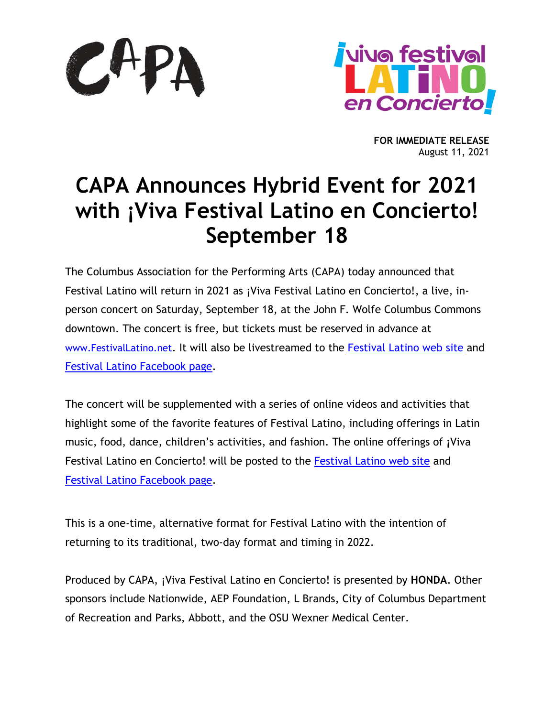



**FOR IMMEDIATE RELEASE** August 11, 2021

# **CAPA Announces Hybrid Event for 2021 with ¡Viva Festival Latino en Concierto! September 18**

The Columbus Association for the Performing Arts (CAPA) today announced that Festival Latino will return in 2021 as ¡Viva Festival Latino en Concierto!, a live, inperson concert on Saturday, September 18, at the John F. Wolfe Columbus Commons downtown. The concert is free, but tickets must be reserved in advance at [www.FestivalLatino.net.](http://www.festivallatino.net/) It will also be livestreamed to the [Festival Latino web site](http://festivallatino.net/) and [Festival Latino Facebook page.](https://www.facebook.com/festivallatino/)

The concert will be supplemented with a series of online videos and activities that highlight some of the favorite features of Festival Latino, including offerings in Latin music, food, dance, children's activities, and fashion. The online offerings of **¡**Viva Festival Latino en Concierto! will be posted to the [Festival Latino web site](http://festivallatino.net/) and [Festival Latino Facebook page.](https://www.facebook.com/festivallatino/)

This is a one-time, alternative format for Festival Latino with the intention of returning to its traditional, two-day format and timing in 2022.

Produced by CAPA, ¡Viva Festival Latino en Concierto! is presented by **HONDA**. Other sponsors include Nationwide, AEP Foundation, L Brands, City of Columbus Department of Recreation and Parks, Abbott, and the OSU Wexner Medical Center.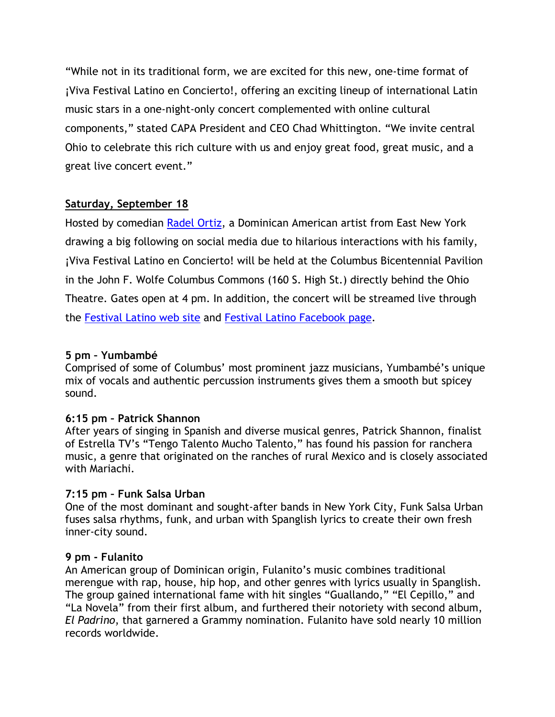"While not in its traditional form, we are excited for this new, one-time format of ¡Viva Festival Latino en Concierto!, offering an exciting lineup of international Latin music stars in a one-night-only concert complemented with online cultural components," stated CAPA President and CEO Chad Whittington. "We invite central Ohio to celebrate this rich culture with us and enjoy great food, great music, and a great live concert event."

## **Saturday, September 18**

Hosted by comedian [Radel Ortiz,](https://radelortiz.com/) a Dominican American artist from East New York drawing a big following on social media due to hilarious interactions with his family, ¡Viva Festival Latino en Concierto! will be held at the Columbus Bicentennial Pavilion in the John F. Wolfe Columbus Commons (160 S. High St.) directly behind the Ohio Theatre. Gates open at 4 pm. In addition, the concert will be streamed live through the [Festival Latino web site](http://festivallatino.net/) and [Festival Latino Facebook page.](https://www.facebook.com/festivallatino/)

## **5 pm – Yumbambé**

Comprised of some of Columbus' most prominent jazz musicians, Yumbambé's unique mix of vocals and authentic percussion instruments gives them a smooth but spicey sound.

## **6:15 pm – Patrick Shannon**

After years of singing in Spanish and diverse musical genres, Patrick Shannon, finalist of Estrella TV's "Tengo Talento Mucho Talento," has found his passion for ranchera music, a genre that originated on the ranches of rural Mexico and is closely associated with Mariachi.

## **7:15 pm – Funk Salsa Urban**

One of the most dominant and sought-after bands in New York City, Funk Salsa Urban fuses salsa rhythms, funk, and urban with Spanglish lyrics to create their own fresh inner-city sound.

## **9 pm - Fulanito**

An American group of Dominican origin, Fulanito's music combines traditional merengue with rap, house, hip hop, and other genres with lyrics usually in Spanglish. The group gained international fame with hit singles "Guallando," "El Cepillo," and "La Novela" from their first album, and furthered their notoriety with second album, *El Padrino*, that garnered a Grammy nomination. Fulanito have sold nearly 10 million records worldwide.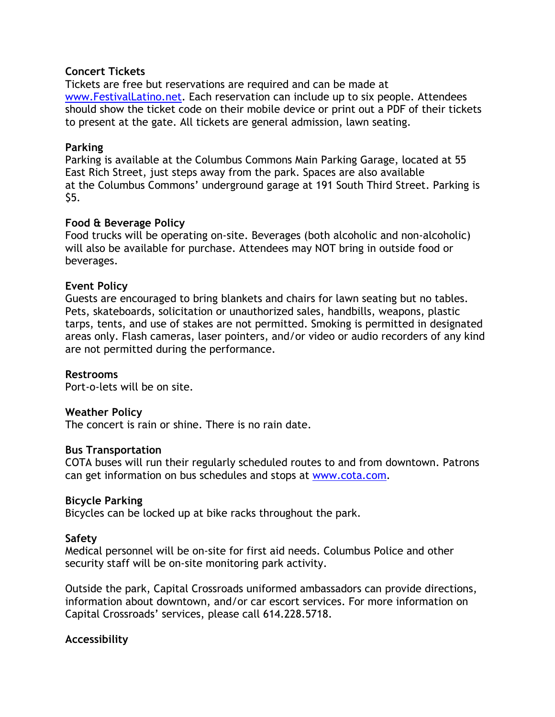### **Concert Tickets**

Tickets are free but reservations are required and can be made at [www.FestivalLatino.net.](http://www.festivallatino.net/) Each reservation can include up to six people. Attendees should show the ticket code on their mobile device or print out a PDF of their tickets to present at the gate. All tickets are general admission, lawn seating.

### **Parking**

Parking is available at the Columbus Commons Main Parking Garage, located at 55 East Rich Street, just steps away from the park. Spaces are also available at the Columbus Commons' underground garage at 191 South Third Street. Parking is \$5.

### **Food & Beverage Policy**

Food trucks will be operating on-site. Beverages (both alcoholic and non-alcoholic) will also be available for purchase. Attendees may NOT bring in outside food or beverages.

### **Event Policy**

Guests are encouraged to bring blankets and chairs for lawn seating but no tables. Pets, skateboards, solicitation or unauthorized sales, handbills, weapons, plastic tarps, tents, and use of stakes are not permitted. Smoking is permitted in designated areas only. Flash cameras, laser pointers, and/or video or audio recorders of any kind are not permitted during the performance.

#### **Restrooms**

Port-o-lets will be on site.

#### **Weather Policy**

The concert is rain or shine. There is no rain date.

#### **Bus Transportation**

COTA buses will run their regularly scheduled routes to and from downtown. Patrons can get information on bus schedules and stops at [www.cota.com.](http://www.cota.com/)

#### **Bicycle Parking**

Bicycles can be locked up at bike racks throughout the park.

#### **Safety**

Medical personnel will be on-site for first aid needs. Columbus Police and other security staff will be on-site monitoring park activity.

Outside the park, Capital Crossroads uniformed ambassadors can provide directions, information about downtown, and/or car escort services. For more information on Capital Crossroads' services, please call 614.228.5718.

#### **Accessibility**